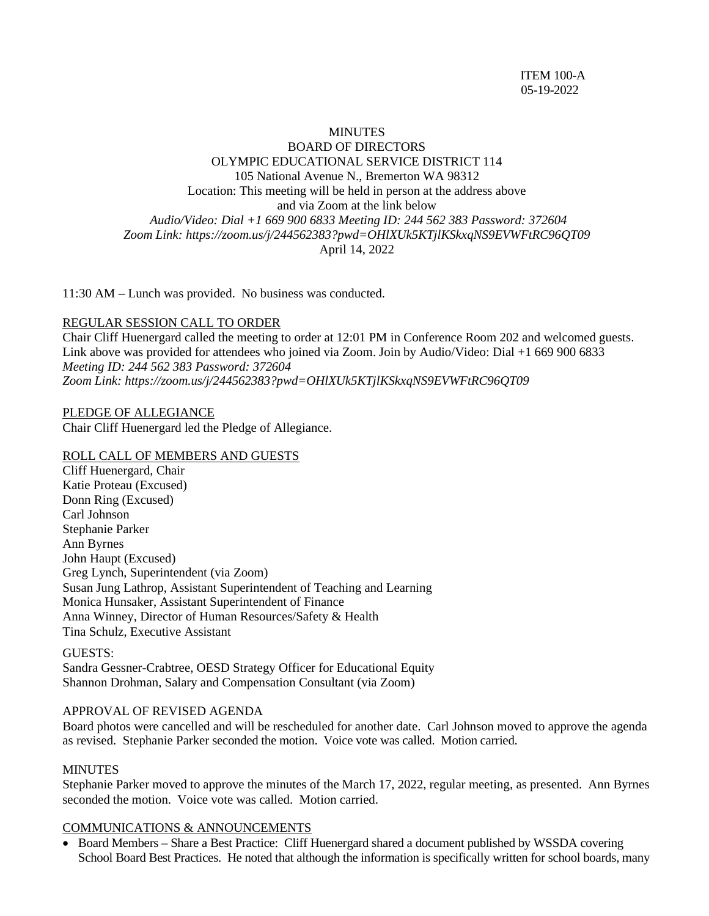### MINUTES BOARD OF DIRECTORS OLYMPIC EDUCATIONAL SERVICE DISTRICT 114 105 National Avenue N., Bremerton WA 98312 Location: This meeting will be held in person at the address above and via Zoom at the link below *Audio/Video: Dial +1 669 900 6833 Meeting ID: 244 562 383 Password: 372604 Zoom Link:<https://zoom.us/j/244562383?pwd=OHlXUk5KTjlKSkxqNS9EVWFtRC96QT09>* April 14, 2022

11:30 AM – Lunch was provided. No business was conducted.

### REGULAR SESSION CALL TO ORDER

Chair Cliff Huenergard called the meeting to order at 12:01 PM in Conference Room 202 and welcomed guests. Link above was provided for attendees who joined via Zoom. Join by Audio/Video: Dial +1 669 900 6833 *Meeting ID: 244 562 383 Password: 372604 Zoom Link:<https://zoom.us/j/244562383?pwd=OHlXUk5KTjlKSkxqNS9EVWFtRC96QT09>*

PLEDGE OF ALLEGIANCE Chair Cliff Huenergard led the Pledge of Allegiance.

#### ROLL CALL OF MEMBERS AND GUESTS

Cliff Huenergard, Chair Katie Proteau (Excused) Donn Ring (Excused) Carl Johnson Stephanie Parker Ann Byrnes John Haupt (Excused) Greg Lynch, Superintendent (via Zoom) Susan Jung Lathrop, Assistant Superintendent of Teaching and Learning Monica Hunsaker, Assistant Superintendent of Finance Anna Winney, Director of Human Resources/Safety & Health Tina Schulz, Executive Assistant

#### GUESTS:

Sandra Gessner-Crabtree, OESD Strategy Officer for Educational Equity Shannon Drohman, Salary and Compensation Consultant (via Zoom)

#### APPROVAL OF REVISED AGENDA

Board photos were cancelled and will be rescheduled for another date. Carl Johnson moved to approve the agenda as revised. Stephanie Parker seconded the motion. Voice vote was called. Motion carried.

#### **MINUTES**

Stephanie Parker moved to approve the minutes of the March 17, 2022, regular meeting, as presented. Ann Byrnes seconded the motion. Voice vote was called. Motion carried.

### COMMUNICATIONS & ANNOUNCEMENTS

• Board Members – Share a Best Practice: Cliff Huenergard shared a document published by WSSDA covering School Board Best Practices. He noted that although the information is specifically written for school boards, many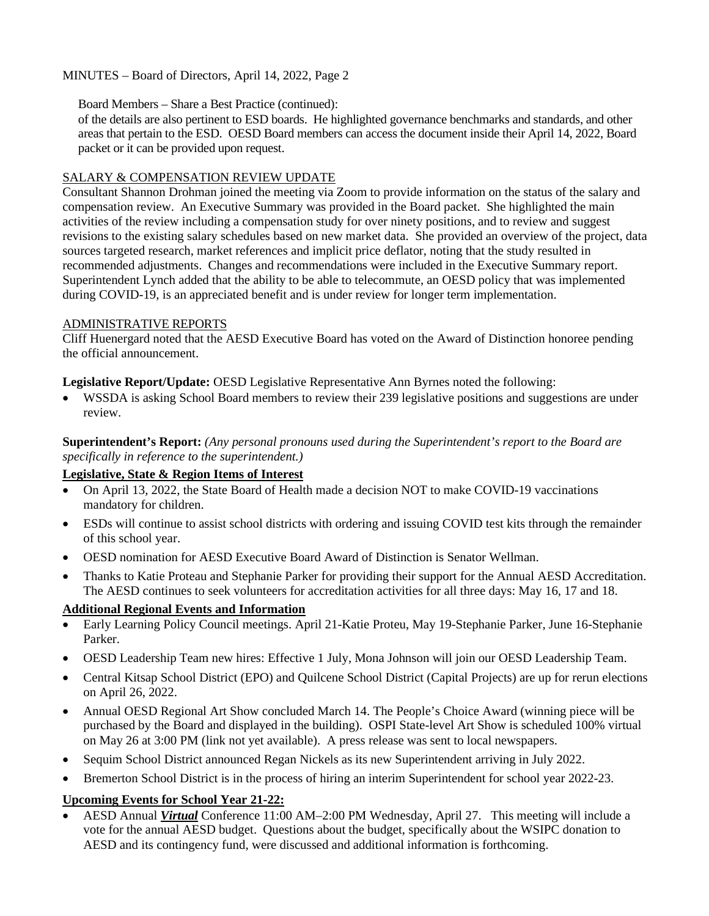### Board Members – Share a Best Practice (continued):

of the details are also pertinent to ESD boards. He highlighted governance benchmarks and standards, and other areas that pertain to the ESD. OESD Board members can access the document inside their April 14, 2022, Board packet or it can be provided upon request.

## SALARY & COMPENSATION REVIEW UPDATE

Consultant Shannon Drohman joined the meeting via Zoom to provide information on the status of the salary and compensation review. An Executive Summary was provided in the Board packet. She highlighted the main activities of the review including a compensation study for over ninety positions, and to review and suggest revisions to the existing salary schedules based on new market data. She provided an overview of the project, data sources targeted research, market references and implicit price deflator, noting that the study resulted in recommended adjustments. Changes and recommendations were included in the Executive Summary report. Superintendent Lynch added that the ability to be able to telecommute, an OESD policy that was implemented during COVID-19, is an appreciated benefit and is under review for longer term implementation.

## ADMINISTRATIVE REPORTS

Cliff Huenergard noted that the AESD Executive Board has voted on the Award of Distinction honoree pending the official announcement.

## **Legislative Report/Update:** OESD Legislative Representative Ann Byrnes noted the following:

• WSSDA is asking School Board members to review their 239 legislative positions and suggestions are under review.

**Superintendent's Report:** *(Any personal pronouns used during the Superintendent's report to the Board are specifically in reference to the superintendent.)*

# **Legislative, State & Region Items of Interest**

- On April 13, 2022, the State Board of Health made a decision NOT to make COVID-19 vaccinations mandatory for children.
- ESDs will continue to assist school districts with ordering and issuing COVID test kits through the remainder of this school year.
- OESD nomination for AESD Executive Board Award of Distinction is Senator Wellman.
- Thanks to Katie Proteau and Stephanie Parker for providing their support for the Annual AESD Accreditation. The AESD continues to seek volunteers for accreditation activities for all three days: May 16, 17 and 18.

# **Additional Regional Events and Information**

- Early Learning Policy Council meetings. April 21-Katie Proteu, May 19-Stephanie Parker, June 16-Stephanie Parker.
- OESD Leadership Team new hires: Effective 1 July, Mona Johnson will join our OESD Leadership Team.
- Central Kitsap School District (EPO) and Quilcene School District (Capital Projects) are up for rerun elections on April 26, 2022.
- Annual OESD Regional Art Show concluded March 14. The People's Choice Award (winning piece will be purchased by the Board and displayed in the building). OSPI State-level Art Show is scheduled 100% virtual on May 26 at 3:00 PM (link not yet available). A press release was sent to local newspapers.
- Sequim School District announced Regan Nickels as its new Superintendent arriving in July 2022.
- Bremerton School District is in the process of hiring an interim Superintendent for school year 2022-23.

# **Upcoming Events for School Year 21-22:**

• AESD Annual *Virtual* Conference 11:00 AM–2:00 PM Wednesday, April 27. This meeting will include a vote for the annual AESD budget. Questions about the budget, specifically about the WSIPC donation to AESD and its contingency fund, were discussed and additional information is forthcoming.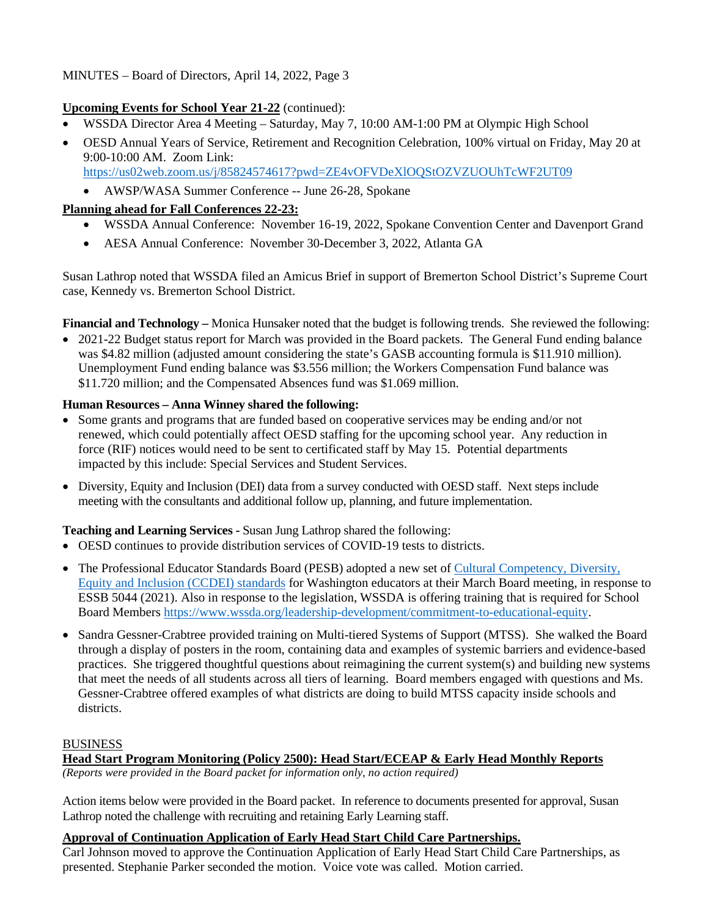# **Upcoming Events for School Year 21-22** (continued):

- WSSDA Director Area 4 Meeting Saturday, May 7, 10:00 AM-1:00 PM at Olympic High School
- OESD Annual Years of Service, Retirement and Recognition Celebration, 100% virtual on Friday, May 20 at 9:00-10:00 AM. Zoom Link: <https://us02web.zoom.us/j/85824574617?pwd=ZE4vOFVDeXlOQStOZVZUOUhTcWF2UT09>
	- AWSP/WASA Summer Conference -- June 26-28, Spokane

# **Planning ahead for Fall Conferences 22-23:**

- WSSDA Annual Conference: November 16-19, 2022, Spokane Convention Center and Davenport Grand
- AESA Annual Conference: November 30-December 3, 2022, Atlanta GA

Susan Lathrop noted that WSSDA filed an Amicus Brief in support of Bremerton School District's Supreme Court case, Kennedy vs. Bremerton School District.

**Financial and Technology –** Monica Hunsaker noted that the budget is following trends. She reviewed the following:

• 2021-22 Budget status report for March was provided in the Board packets. The General Fund ending balance was \$4.82 million (adjusted amount considering the state's GASB accounting formula is \$11.910 million). Unemployment Fund ending balance was \$3.556 million; the Workers Compensation Fund balance was \$11.720 million; and the Compensated Absences fund was \$1.069 million.

# **Human Resources – Anna Winney shared the following:**

- Some grants and programs that are funded based on cooperative services may be ending and/or not renewed, which could potentially affect OESD staffing for the upcoming school year. Any reduction in force (RIF) notices would need to be sent to certificated staff by May 15. Potential departments impacted by this include: Special Services and Student Services.
- Diversity, Equity and Inclusion (DEI) data from a survey conducted with OESD staff. Next steps include meeting with the consultants and additional follow up, planning, and future implementation.

# **Teaching and Learning Services -** Susan Jung Lathrop shared the following:

- OESD continues to provide distribution services of COVID-19 tests to districts.
- The Professional Educator Standards Board (PESB) adopted a new set of [Cultural Competency, Diversity,](https://www.pesb.wa.gov/innovation-policy/ccdei/)  [Equity and Inclusion \(CCDEI\) standards](https://www.pesb.wa.gov/innovation-policy/ccdei/) for Washington educators at their March Board meeting, in response to ESSB 5044 (2021). Also in response to the legislation, WSSDA is offering training that is required for School Board Members [https://www.wssda.org/leadership-development/commitment-to-educational-equity.](https://www.wssda.org/leadership-development/commitment-to-educational-equity)
- Sandra Gessner-Crabtree provided training on Multi-tiered Systems of Support (MTSS). She walked the Board through a display of posters in the room, containing data and examples of systemic barriers and evidence-based practices. She triggered thoughtful questions about reimagining the current system(s) and building new systems that meet the needs of all students across all tiers of learning. Board members engaged with questions and Ms. Gessner-Crabtree offered examples of what districts are doing to build MTSS capacity inside schools and districts.

# **BUSINESS**

# **Head Start Program Monitoring (Policy 2500): Head Start/ECEAP & Early Head Monthly Reports**

*(Reports were provided in the Board packet for information only, no action required)*

Action items below were provided in the Board packet. In reference to documents presented for approval, Susan Lathrop noted the challenge with recruiting and retaining Early Learning staff.

### **Approval of Continuation Application of Early Head Start Child Care Partnerships.**

Carl Johnson moved to approve the Continuation Application of Early Head Start Child Care Partnerships, as presented. Stephanie Parker seconded the motion. Voice vote was called. Motion carried.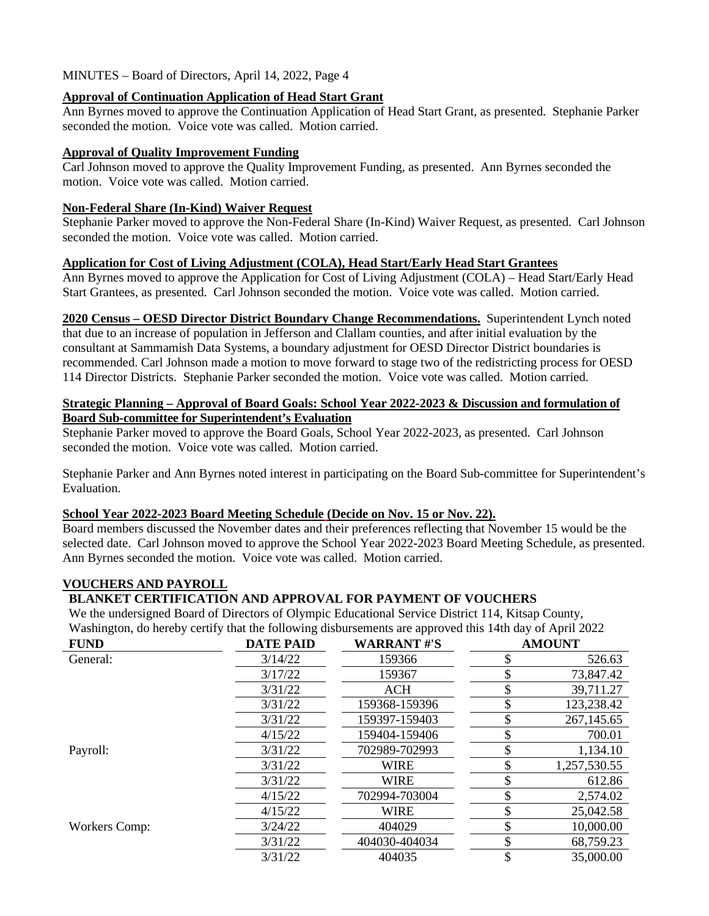### **Approval of Continuation Application of Head Start Grant**

Ann Byrnes moved to approve the Continuation Application of Head Start Grant, as presented. Stephanie Parker seconded the motion. Voice vote was called. Motion carried.

# **Approval of Quality Improvement Funding**

Carl Johnson moved to approve the Quality Improvement Funding, as presented. Ann Byrnes seconded the motion. Voice vote was called. Motion carried.

#### **Non-Federal Share (In-Kind) Waiver Request**

Stephanie Parker moved to approve the Non-Federal Share (In-Kind) Waiver Request, as presented. Carl Johnson seconded the motion. Voice vote was called. Motion carried.

### **Application for Cost of Living Adjustment (COLA), Head Start/Early Head Start Grantees**

Ann Byrnes moved to approve the Application for Cost of Living Adjustment (COLA) – Head Start/Early Head Start Grantees, as presented. Carl Johnson seconded the motion. Voice vote was called. Motion carried.

**2020 Census – OESD Director District Boundary Change Recommendations.** Superintendent Lynch noted that due to an increase of population in Jefferson and Clallam counties, and after initial evaluation by the consultant at Sammamish Data Systems, a boundary adjustment for OESD Director District boundaries is recommended. Carl Johnson made a motion to move forward to stage two of the redistricting process for OESD 114 Director Districts. Stephanie Parker seconded the motion. Voice vote was called. Motion carried.

### **Strategic Planning – Approval of Board Goals: School Year 2022-2023 & Discussion and formulation of Board Sub-committee for Superintendent's Evaluation**

Stephanie Parker moved to approve the Board Goals, School Year 2022-2023, as presented. Carl Johnson seconded the motion. Voice vote was called. Motion carried.

Stephanie Parker and Ann Byrnes noted interest in participating on the Board Sub-committee for Superintendent's Evaluation.

### **School Year 2022-2023 Board Meeting Schedule (Decide on Nov. 15 or Nov. 22).**

Board members discussed the November dates and their preferences reflecting that November 15 would be the selected date. Carl Johnson moved to approve the School Year 2022-2023 Board Meeting Schedule, as presented. Ann Byrnes seconded the motion. Voice vote was called. Motion carried.

### **VOUCHERS AND PAYROLL**

### **BLANKET CERTIFICATION AND APPROVAL FOR PAYMENT OF VOUCHERS**

We the undersigned Board of Directors of Olympic Educational Service District 114, Kitsap County, Washington, do hereby certify that the following disbursements are approved this 14th day of April 2022

| <b>FUND</b>          | <b>DATE PAID</b> | <b>WARRANT#'S</b> | <b>AMOUNT</b>   |
|----------------------|------------------|-------------------|-----------------|
| General:             | 3/14/22          | 159366            | 526.63          |
|                      | 3/17/22          | 159367            | 73,847.42       |
|                      | 3/31/22          | ACH               | 39,711.27       |
|                      | 3/31/22          | 159368-159396     | 123,238.42      |
|                      | 3/31/22          | 159397-159403     | 267, 145.65     |
|                      | 4/15/22          | 159404-159406     | 700.01          |
| Payroll:             | 3/31/22          | 702989-702993     | 1,134.10        |
|                      | 3/31/22          | <b>WIRE</b>       | 1,257,530.55    |
|                      | 3/31/22          | <b>WIRE</b>       | 612.86          |
|                      | 4/15/22          | 702994-703004     | 2,574.02        |
|                      | 4/15/22          | <b>WIRE</b>       | 25,042.58       |
| <b>Workers Comp:</b> | 3/24/22          | 404029            | 10,000.00       |
|                      | 3/31/22          | 404030-404034     | \$<br>68,759.23 |
|                      | 3/31/22          | 404035            | 35,000.00       |